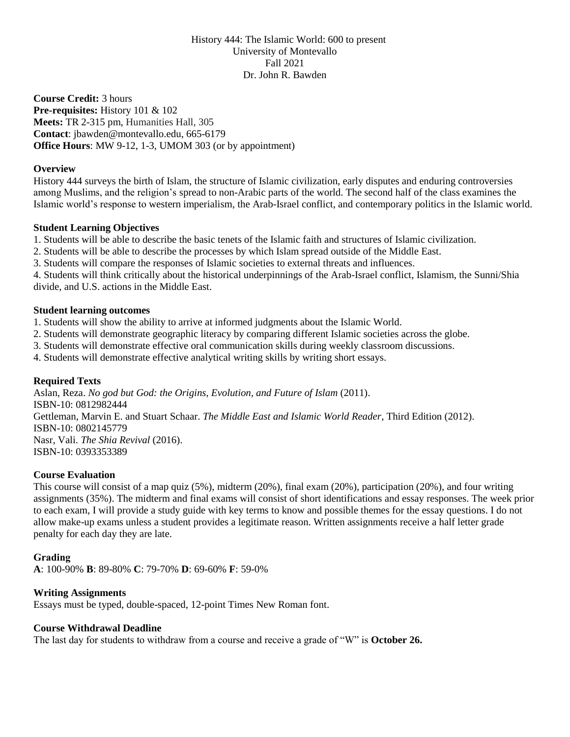History 444: The Islamic World: 600 to present University of Montevallo Fall 2021 Dr. John R. Bawden

**Course Credit:** 3 hours **Pre-requisites:** History 101 & 102 **Meets:** TR 2-315 pm, Humanities Hall, 305 **Contact**: [jbawden@montevallo.edu,](mailto:jbawden@montevallo.edu) 665-6179 **Office Hours**: MW 9-12, 1-3, UMOM 303 (or by appointment)

## **Overview**

History 444 surveys the birth of Islam, the structure of Islamic civilization, early disputes and enduring controversies among Muslims, and the religion's spread to non-Arabic parts of the world. The second half of the class examines the Islamic world's response to western imperialism, the Arab-Israel conflict, and contemporary politics in the Islamic world.

## **Student Learning Objectives**

1. Students will be able to describe the basic tenets of the Islamic faith and structures of Islamic civilization.

2. Students will be able to describe the processes by which Islam spread outside of the Middle East.

3. Students will compare the responses of Islamic societies to external threats and influences.

4. Students will think critically about the historical underpinnings of the Arab-Israel conflict, Islamism, the Sunni/Shia divide, and U.S. actions in the Middle East.

## **Student learning outcomes**

- 1. Students will show the ability to arrive at informed judgments about the Islamic World.
- 2. Students will demonstrate geographic literacy by comparing different Islamic societies across the globe.
- 3. Students will demonstrate effective oral communication skills during weekly classroom discussions.
- 4. Students will demonstrate effective analytical writing skills by writing short essays.

# **Required Texts**

Aslan, Reza. *No god but God: the Origins, Evolution, and Future of Islam* (2011). ISBN-10: 0812982444 Gettleman, Marvin E. and Stuart Schaar. *The Middle East and Islamic World Reader*, Third Edition (2012). ISBN-10: 0802145779 Nasr, Vali. *The Shia Revival* (2016). ISBN-10: 0393353389

# **Course Evaluation**

This course will consist of a map quiz (5%), midterm (20%), final exam (20%), participation (20%), and four writing assignments (35%). The midterm and final exams will consist of short identifications and essay responses. The week prior to each exam, I will provide a study guide with key terms to know and possible themes for the essay questions. I do not allow make-up exams unless a student provides a legitimate reason. Written assignments receive a half letter grade penalty for each day they are late.

# **Grading**

**A**: 100-90% **B**: 89-80% **C**: 79-70% **D**: 69-60% **F**: 59-0%

## **Writing Assignments**

Essays must be typed, double-spaced, 12-point Times New Roman font.

## **Course Withdrawal Deadline**

The last day for students to withdraw from a course and receive a grade of "W" is **October 26.**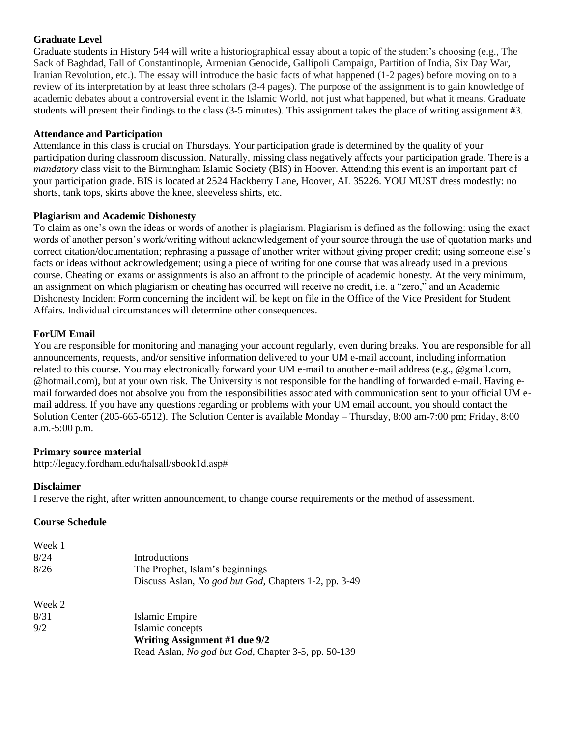## **Graduate Level**

Graduate students in History 544 will write a historiographical essay about a topic of the student's choosing (e.g., The Sack of Baghdad, Fall of Constantinople, Armenian Genocide, Gallipoli Campaign, Partition of India, Six Day War, Iranian Revolution, etc.). The essay will introduce the basic facts of what happened (1-2 pages) before moving on to a review of its interpretation by at least three scholars (3-4 pages). The purpose of the assignment is to gain knowledge of academic debates about a controversial event in the Islamic World, not just what happened, but what it means. Graduate students will present their findings to the class (3-5 minutes). This assignment takes the place of writing assignment #3.

## **Attendance and Participation**

Attendance in this class is crucial on Thursdays. Your participation grade is determined by the quality of your participation during classroom discussion. Naturally, missing class negatively affects your participation grade. There is a *mandatory* class visit to the Birmingham Islamic Society (BIS) in Hoover. Attending this event is an important part of your participation grade. BIS is located at 2524 Hackberry Lane, Hoover, AL 35226. YOU MUST dress modestly: no shorts, tank tops, skirts above the knee, sleeveless shirts, etc.

## **Plagiarism and Academic Dishonesty**

To claim as one's own the ideas or words of another is plagiarism. Plagiarism is defined as the following: using the exact words of another person's work/writing without acknowledgement of your source through the use of quotation marks and correct citation/documentation; rephrasing a passage of another writer without giving proper credit; using someone else's facts or ideas without acknowledgement; using a piece of writing for one course that was already used in a previous course. Cheating on exams or assignments is also an affront to the principle of academic honesty. At the very minimum, an assignment on which plagiarism or cheating has occurred will receive no credit, i.e. a "zero," and an Academic Dishonesty Incident Form concerning the incident will be kept on file in the Office of the Vice President for Student Affairs. Individual circumstances will determine other consequences.

## **ForUM Email**

You are responsible for monitoring and managing your account regularly, even during breaks. You are responsible for all announcements, requests, and/or sensitive information delivered to your UM e-mail account, including information related to this course. You may electronically forward your UM e-mail to another e-mail address (e.g., @gmail.com, @hotmail.com), but at your own risk. The University is not responsible for the handling of forwarded e-mail. Having email forwarded does not absolve you from the responsibilities associated with communication sent to your official UM email address. If you have any questions regarding or problems with your UM email account, you should contact the Solution Center (205-665-6512). The Solution Center is available Monday – Thursday, 8:00 am-7:00 pm; Friday, 8:00 a.m.-5:00 p.m.

## **Primary source material**

http://legacy.fordham.edu/halsall/sbook1d.asp#

## **Disclaimer**

I reserve the right, after written announcement, to change course requirements or the method of assessment.

## **Course Schedule**

| Week 1 |                                                               |
|--------|---------------------------------------------------------------|
| 8/24   | Introductions                                                 |
| 8/26   | The Prophet, Islam's beginnings                               |
|        | Discuss Aslan, <i>No god but God</i> , Chapters 1-2, pp. 3-49 |
| Week 2 |                                                               |
| 8/31   | Islamic Empire                                                |
| 9/2    | Islamic concepts                                              |
|        | Writing Assignment #1 due 9/2                                 |
|        | Read Aslan, <i>No god but God</i> , Chapter 3-5, pp. 50-139   |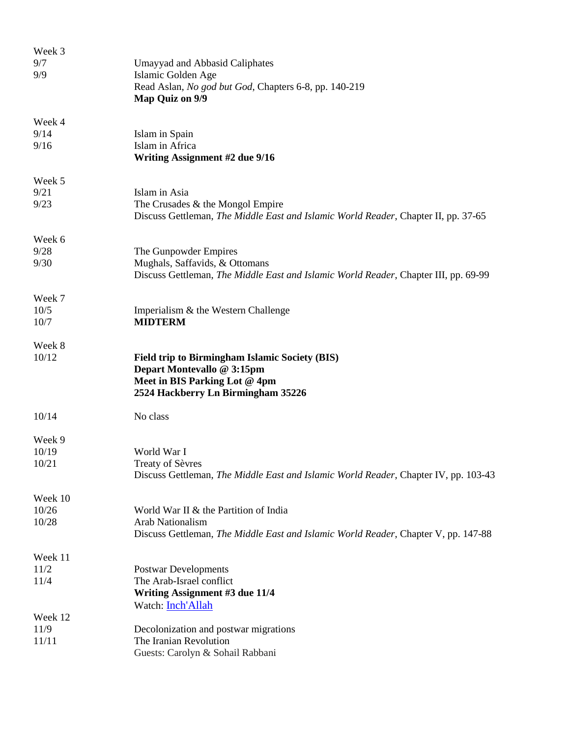| Week 3  |                                                                                     |
|---------|-------------------------------------------------------------------------------------|
| 9/7     | Umayyad and Abbasid Caliphates                                                      |
| 9/9     | Islamic Golden Age                                                                  |
|         | Read Aslan, No god but God, Chapters 6-8, pp. 140-219                               |
|         | Map Quiz on 9/9                                                                     |
| Week 4  |                                                                                     |
| 9/14    | Islam in Spain                                                                      |
| 9/16    | Islam in Africa                                                                     |
|         | Writing Assignment #2 due 9/16                                                      |
| Week 5  |                                                                                     |
| 9/21    | Islam in Asia                                                                       |
| 9/23    | The Crusades & the Mongol Empire                                                    |
|         | Discuss Gettleman, The Middle East and Islamic World Reader, Chapter II, pp. 37-65  |
| Week 6  |                                                                                     |
| 9/28    | The Gunpowder Empires                                                               |
| 9/30    | Mughals, Saffavids, & Ottomans                                                      |
|         | Discuss Gettleman, The Middle East and Islamic World Reader, Chapter III, pp. 69-99 |
| Week 7  |                                                                                     |
| 10/5    | Imperialism & the Western Challenge                                                 |
| 10/7    | <b>MIDTERM</b>                                                                      |
| Week 8  |                                                                                     |
| 10/12   | <b>Field trip to Birmingham Islamic Society (BIS)</b>                               |
|         | Depart Montevallo @ 3:15pm                                                          |
|         | Meet in BIS Parking Lot @ 4pm                                                       |
|         | 2524 Hackberry Ln Birmingham 35226                                                  |
| 10/14   | No class                                                                            |
| Week 9  |                                                                                     |
| 10/19   | World War I                                                                         |
| 10/21   | <b>Treaty of Sèvres</b>                                                             |
|         | Discuss Gettleman, The Middle East and Islamic World Reader, Chapter IV, pp. 103-43 |
| Week 10 |                                                                                     |
| 10/26   | World War II & the Partition of India                                               |
| 10/28   | Arab Nationalism                                                                    |
|         | Discuss Gettleman, The Middle East and Islamic World Reader, Chapter V, pp. 147-88  |
| Week 11 |                                                                                     |
| 11/2    | <b>Postwar Developments</b>                                                         |
| 11/4    | The Arab-Israel conflict                                                            |
|         | Writing Assignment #3 due 11/4                                                      |
|         | Watch: Inch'Allah                                                                   |
| Week 12 |                                                                                     |
| 11/9    | Decolonization and postwar migrations                                               |
| 11/11   | The Iranian Revolution                                                              |
|         | Guests: Carolyn & Sohail Rabbani                                                    |